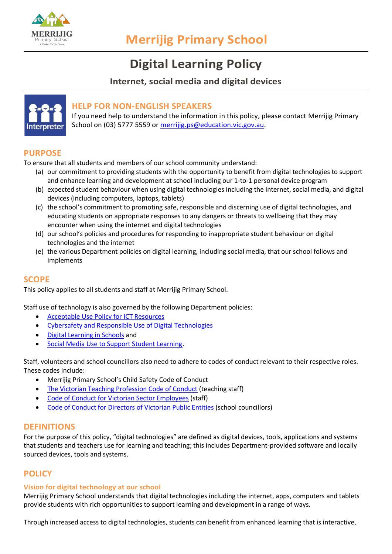

# **Digital Learning Policy**

# **Internet, social media and digital devices**



# **HELP FOR NON-ENGLISH SPEAKERS**

If you need help to understand the information in this policy, please contact Merrijig Primary School on (03) 5777 5559 or [merrijig.ps@education.vic.gov.au.](mailto:merrijig.ps@education.vic.gov.au)

# **PURPOSE**

To ensure that all students and members of our school community understand:

- (a) our commitment to providing students with the opportunity to benefit from digital technologies to support and enhance learning and development at school including our 1-to-1 personal device program
- (b) expected student behaviour when using digital technologies including the internet, social media, and digital devices (including computers, laptops, tablets)
- (c) the school's commitment to promoting safe, responsible and discerning use of digital technologies, and educating students on appropriate responses to any dangers or threats to wellbeing that they may encounter when using the internet and digital technologies
- (d) our school's policies and procedures for responding to inappropriate student behaviour on digital technologies and the internet
- (e) the various Department policies on digital learning, including social media, that our school follows and implements

## **SCOPE**

This policy applies to all students and staff at Merrijig Primary School.

Staff use of technology is also governed by the following Department policies:

- [Acceptable Use Policy for ICT Resources](https://www2.education.vic.gov.au/pal/ict-acceptable-use/overview)
- [Cybersafety and Responsible Use of Digital Technologies](https://www2.education.vic.gov.au/pal/cybersafety/policy)
- [Digital Learning in Schools](https://www2.education.vic.gov.au/pal/digital-learning/policy) and
- [Social Media Use to Support Student Learning.](https://www2.education.vic.gov.au/pal/social-media/policy)

Staff, volunteers and school councillors also need to adhere to codes of conduct relevant to their respective roles. These codes include:

- Merrijig Primary School's Child Safety Code of Conduct
- [The Victorian Teaching Profession Code of Conduct](https://www.vit.vic.edu.au/__data/assets/pdf_file/0018/35604/Code-of-Conduct-2016.pdf) (teaching staff)
- [Code of Conduct for Victorian Sector Employees](https://www2.education.vic.gov.au/pal/code-conduct/overview) (staff)
- [Code of Conduct for Directors of Victorian Public Entities](https://www2.education.vic.gov.au/pal/school-council-conduct/policy) (school councillors)

# **DEFINITIONS**

For the purpose of this policy, "digital technologies" are defined as digital devices, tools, applications and systems that students and teachers use for learning and teaching; this includes Department-provided software and locally sourced devices, tools and systems.

# **POLICY**

#### **Vision for digital technology at our school**

Merrijig Primary School understands that digital technologies including the internet, apps, computers and tablets provide students with rich opportunities to support learning and development in a range of ways.

Through increased access to digital technologies, students can benefit from enhanced learning that is interactive,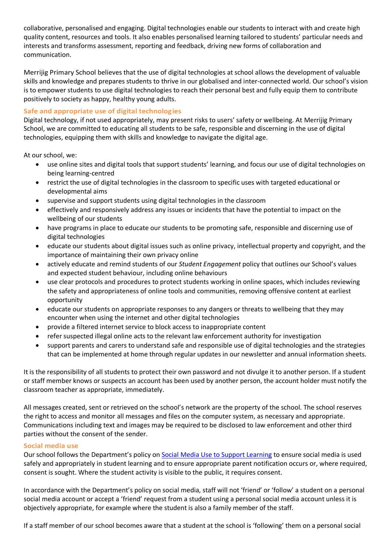collaborative, personalised and engaging. Digital technologies enable our students to interact with and create high quality content, resources and tools. It also enables personalised learning tailored to students' particular needs and interests and transforms assessment, reporting and feedback, driving new forms of collaboration and communication.

Merrijig Primary School believes that the use of digital technologies at school allows the development of valuable skills and knowledge and prepares students to thrive in our globalised and inter-connected world. Our school's vision is to empower students to use digital technologies to reach their personal best and fully equip them to contribute positively to society as happy, healthy young adults.

## **Safe and appropriate use of digital technologies**

Digital technology, if not used appropriately, may present risks to users' safety or wellbeing. At Merrijig Primary School, we are committed to educating all students to be safe, responsible and discerning in the use of digital technologies, equipping them with skills and knowledge to navigate the digital age.

At our school, we:

- use online sites and digital tools that support students' learning, and focus our use of digital technologies on being learning-centred
- restrict the use of digital technologies in the classroom to specific uses with targeted educational or developmental aims
- supervise and support students using digital technologies in the classroom
- effectively and responsively address any issues or incidents that have the potential to impact on the wellbeing of our students
- have programs in place to educate our students to be promoting safe, responsible and discerning use of digital technologies
- educate our students about digital issues such as online privacy, intellectual property and copyright, and the importance of maintaining their own privacy online
- actively educate and remind students of our *Student Engagement* policy that outlines our School's values and expected student behaviour, including online behaviours
- use clear protocols and procedures to protect students working in online spaces, which includes reviewing the safety and appropriateness of online tools and communities, removing offensive content at earliest opportunity
- educate our students on appropriate responses to any dangers or threats to wellbeing that they may encounter when using the internet and other digital technologies
- provide a filtered internet service to block access to inappropriate content
- refer suspected illegal online acts to the relevant law enforcement authority for investigation
- support parents and carers to understand safe and responsible use of digital technologies and the strategies that can be implemented at home through regular updates in our newsletter and annual information sheets.

It is the responsibility of all students to protect their own password and not divulge it to another person. If a student or staff member knows or suspects an account has been used by another person, the account holder must notify the classroom teacher as appropriate, immediately.

All messages created, sent or retrieved on the school's network are the property of the school. The school reserves the right to access and monitor all messages and files on the computer system, as necessary and appropriate. Communications including text and images may be required to be disclosed to law enforcement and other third parties without the consent of the sender.

## **Social media use**

Our school follows the Department's policy on [Social Media Use to Support Learning](https://www2.education.vic.gov.au/pal/social-media/policy) to ensure social media is used safely and appropriately in student learning and to ensure appropriate parent notification occurs or, where required, consent is sought. Where the student activity is visible to the public, it requires consent.

In accordance with the Department's policy on social media, staff will not 'friend' or 'follow' a student on a personal social media account or accept a 'friend' request from a student using a personal social media account unless it is objectively appropriate, for example where the student is also a family member of the staff.

If a staff member of our school becomes aware that a student at the school is 'following' them on a personal social